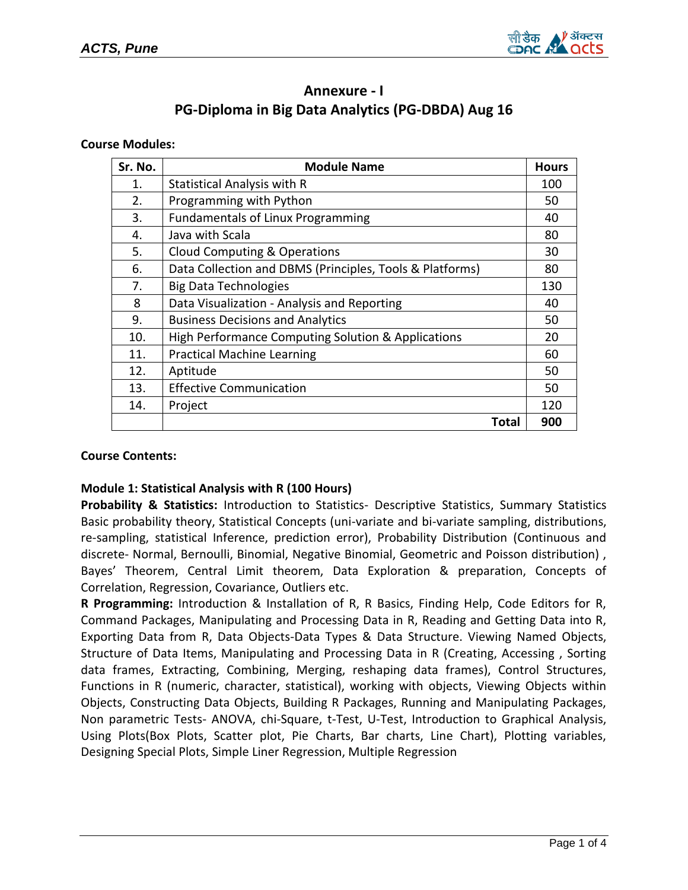

# **Annexure - I PG-Diploma in Big Data Analytics (PG-DBDA) Aug 16**

#### **Course Modules:**

| Sr. No. | <b>Module Name</b>                                       | <b>Hours</b> |
|---------|----------------------------------------------------------|--------------|
| 1.      | <b>Statistical Analysis with R</b>                       | 100          |
| 2.      | Programming with Python                                  | 50           |
| 3.      | <b>Fundamentals of Linux Programming</b>                 | 40           |
| 4.      | Java with Scala                                          | 80           |
| 5.      | Cloud Computing & Operations                             | 30           |
| 6.      | Data Collection and DBMS (Principles, Tools & Platforms) | 80           |
| 7.      | <b>Big Data Technologies</b>                             | 130          |
| 8       | Data Visualization - Analysis and Reporting              | 40           |
| 9.      | <b>Business Decisions and Analytics</b>                  | 50           |
| 10.     | High Performance Computing Solution & Applications       | 20           |
| 11.     | <b>Practical Machine Learning</b>                        | 60           |
| 12.     | Aptitude                                                 | 50           |
| 13.     | <b>Effective Communication</b>                           | 50           |
| 14.     | Project                                                  | 120          |
|         | Total                                                    | 900          |

#### **Course Contents:**

## **Module 1: Statistical Analysis with R (100 Hours)**

**Probability & Statistics:** Introduction to Statistics- Descriptive Statistics, Summary Statistics Basic probability theory, Statistical Concepts (uni-variate and bi-variate sampling, distributions, re-sampling, statistical Inference, prediction error), Probability Distribution (Continuous and discrete- Normal, Bernoulli, Binomial, Negative Binomial, Geometric and Poisson distribution) , Bayes' Theorem, Central Limit theorem, Data Exploration & preparation, Concepts of Correlation, Regression, Covariance, Outliers etc.

**R Programming:** Introduction & Installation of R, R Basics, Finding Help, Code Editors for R, Command Packages, Manipulating and Processing Data in R, Reading and Getting Data into R, Exporting Data from R, Data Objects-Data Types & Data Structure. Viewing Named Objects, Structure of Data Items, Manipulating and Processing Data in R (Creating, Accessing , Sorting data frames, Extracting, Combining, Merging, reshaping data frames), Control Structures, Functions in R (numeric, character, statistical), working with objects, Viewing Objects within Objects, Constructing Data Objects, Building R Packages, Running and Manipulating Packages, Non parametric Tests- ANOVA, chi-Square, t-Test, U-Test, Introduction to Graphical Analysis, Using Plots(Box Plots, Scatter plot, Pie Charts, Bar charts, Line Chart), Plotting variables, Designing Special Plots, Simple Liner Regression, Multiple Regression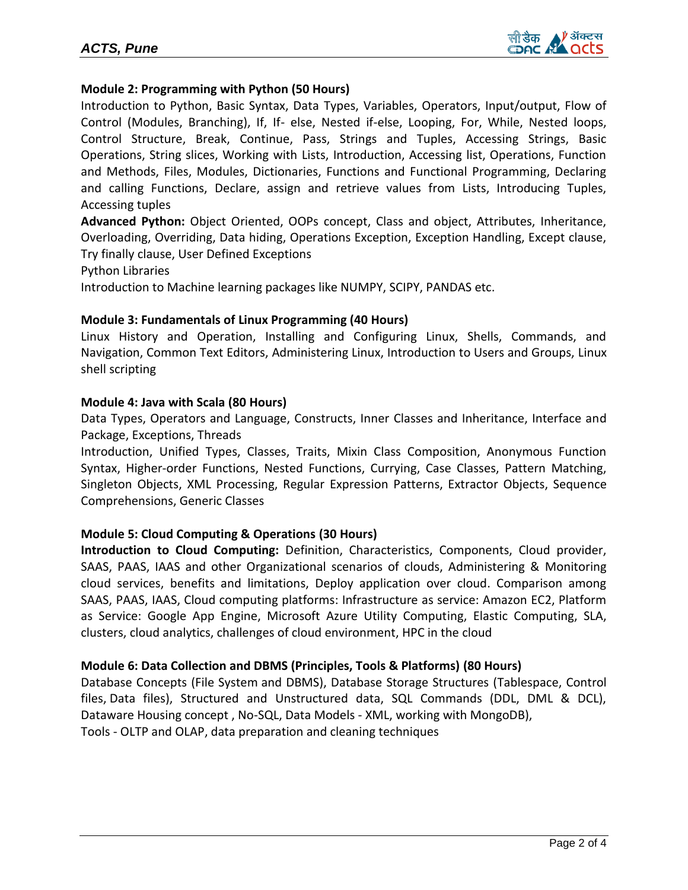## **Module 2: Programming with Python (50 Hours)**

Introduction to Python, Basic Syntax, Data Types, Variables, Operators, Input/output, Flow of Control (Modules, Branching), If, If- else, Nested if-else, Looping, For, While, Nested loops, Control Structure, Break, Continue, Pass, Strings and Tuples, Accessing Strings, Basic Operations, String slices, Working with Lists, Introduction, Accessing list, Operations, Function and Methods, Files, Modules, Dictionaries, Functions and Functional Programming, Declaring and calling Functions, Declare, assign and retrieve values from Lists, Introducing Tuples, Accessing tuples

**Advanced Python:** Object Oriented, OOPs concept, Class and object, Attributes, Inheritance, Overloading, Overriding, Data hiding, Operations Exception, Exception Handling, Except clause, Try finally clause, User Defined Exceptions

Python Libraries

Introduction to Machine learning packages like NUMPY, SCIPY, PANDAS etc.

## **Module 3: Fundamentals of Linux Programming (40 Hours)**

Linux History and Operation, Installing and Configuring Linux, Shells, Commands, and Navigation, Common Text Editors, Administering Linux, Introduction to Users and Groups, Linux shell scripting

## **Module 4: Java with Scala (80 Hours)**

Data Types, Operators and Language, Constructs, Inner Classes and Inheritance, Interface and Package, Exceptions, Threads

Introduction, Unified Types, Classes, Traits, Mixin Class Composition, Anonymous Function Syntax, Higher-order Functions, Nested Functions, Currying, Case Classes, Pattern Matching, Singleton Objects, XML Processing, Regular Expression Patterns, Extractor Objects, Sequence Comprehensions, Generic Classes

## **Module 5: Cloud Computing & Operations (30 Hours)**

**Introduction to Cloud Computing:** Definition, Characteristics, Components, Cloud provider, SAAS, PAAS, IAAS and other Organizational scenarios of clouds, Administering & Monitoring cloud services, benefits and limitations, Deploy application over cloud. Comparison among SAAS, PAAS, IAAS, Cloud computing platforms: Infrastructure as service: Amazon EC2, Platform as Service: Google App Engine, Microsoft Azure Utility Computing, Elastic Computing, SLA, clusters, cloud analytics, challenges of cloud environment, HPC in the cloud

## **Module 6: Data Collection and DBMS (Principles, Tools & Platforms) (80 Hours)**

Database Concepts (File System and DBMS), Database Storage Structures (Tablespace, Control files, Data files), Structured and Unstructured data, SQL Commands (DDL, DML & DCL), Dataware Housing concept , No-SQL, Data Models - XML, working with MongoDB), Tools - OLTP and OLAP, data preparation and cleaning techniques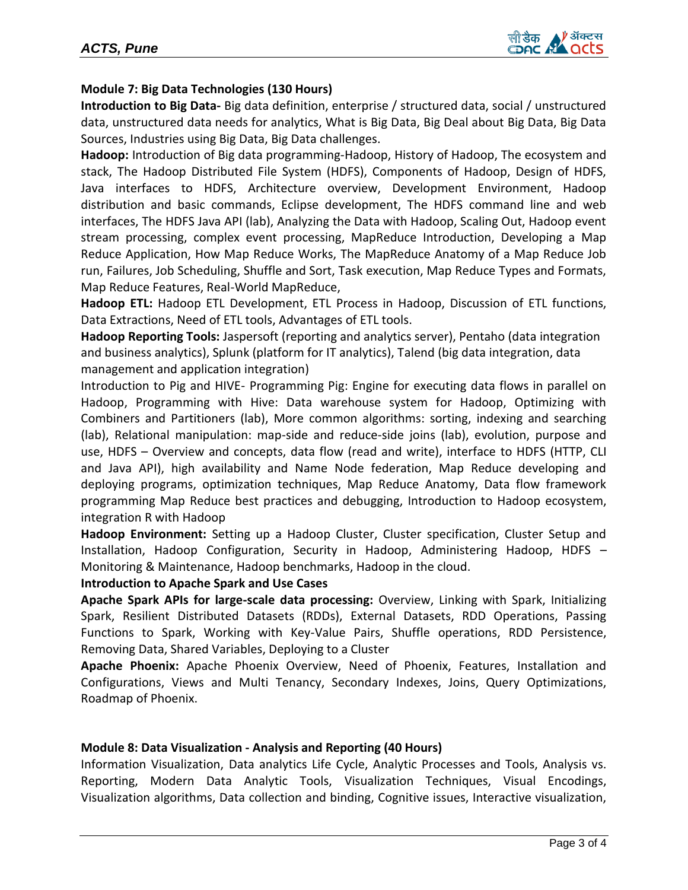

## **Module 7: Big Data Technologies (130 Hours)**

**Introduction to Big Data-** Big data definition, enterprise / structured data, social / unstructured data, unstructured data needs for analytics, What is Big Data, Big Deal about Big Data, Big Data Sources, Industries using Big Data, Big Data challenges.

**Hadoop:** Introduction of Big data programming-Hadoop, History of Hadoop, The ecosystem and stack, The Hadoop Distributed File System (HDFS), Components of Hadoop, Design of HDFS, Java interfaces to HDFS, Architecture overview, Development Environment, Hadoop distribution and basic commands, Eclipse development, The HDFS command line and web interfaces, The HDFS Java API (lab), Analyzing the Data with Hadoop, Scaling Out, Hadoop event stream processing, complex event processing, MapReduce Introduction, Developing a Map Reduce Application, How Map Reduce Works, The MapReduce Anatomy of a Map Reduce Job run, Failures, Job Scheduling, Shuffle and Sort, Task execution, Map Reduce Types and Formats, Map Reduce Features, Real-World MapReduce,

**Hadoop ETL:** Hadoop ETL Development, ETL Process in Hadoop, Discussion of ETL functions, Data Extractions, Need of ETL tools, Advantages of ETL tools.

**Hadoop Reporting Tools:** Jaspersoft (reporting and analytics server), Pentaho (data integration and business analytics), Splunk (platform for IT analytics), Talend (big data integration, data management and application integration)

Introduction to Pig and HIVE- Programming Pig: Engine for executing data flows in parallel on Hadoop, Programming with Hive: Data warehouse system for Hadoop, Optimizing with Combiners and Partitioners (lab), More common algorithms: sorting, indexing and searching (lab), Relational manipulation: map-side and reduce-side joins (lab), evolution, purpose and use, HDFS – Overview and concepts, data flow (read and write), interface to HDFS (HTTP, CLI and Java API), high availability and Name Node federation, Map Reduce developing and deploying programs, optimization techniques, Map Reduce Anatomy, Data flow framework programming Map Reduce best practices and debugging, Introduction to Hadoop ecosystem, integration R with Hadoop

**Hadoop Environment:** Setting up a Hadoop Cluster, Cluster specification, Cluster Setup and Installation, Hadoop Configuration, Security in Hadoop, Administering Hadoop, HDFS – Monitoring & Maintenance, Hadoop benchmarks, Hadoop in the cloud.

#### **Introduction to Apache Spark and Use Cases**

**Apache Spark APIs for large-scale data processing:** Overview, Linking with Spark, Initializing Spark, Resilient Distributed Datasets (RDDs), External Datasets, RDD Operations, Passing Functions to Spark, Working with Key-Value Pairs, Shuffle operations, RDD Persistence, Removing Data, Shared Variables, Deploying to a Cluster

**Apache Phoenix:** Apache Phoenix Overview, Need of Phoenix, Features, Installation and Configurations, Views and Multi Tenancy, Secondary Indexes, Joins, Query Optimizations, Roadmap of Phoenix.

#### **Module 8: Data Visualization - Analysis and Reporting (40 Hours)**

Information Visualization, Data analytics Life Cycle, Analytic Processes and Tools, Analysis vs. Reporting, Modern Data Analytic Tools, Visualization Techniques, Visual Encodings, Visualization algorithms, Data collection and binding, Cognitive issues, Interactive visualization,